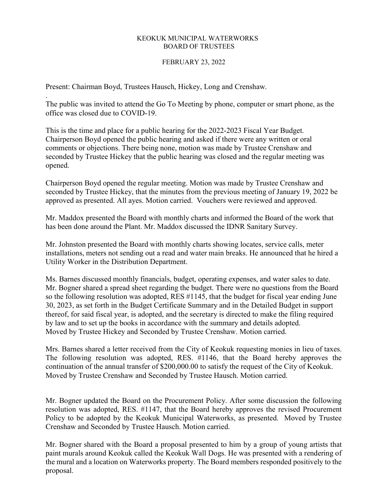## KEOKUK MUNICIPAL WATERWORKS BOARD OF TRUSTEES

## FEBRUARY 23, 2022

Present: Chairman Boyd, Trustees Hausch, Hickey, Long and Crenshaw.

. The public was invited to attend the Go To Meeting by phone, computer or smart phone, as the office was closed due to COVID-19.

This is the time and place for a public hearing for the 2022-2023 Fiscal Year Budget. Chairperson Boyd opened the public hearing and asked if there were any written or oral comments or objections. There being none, motion was made by Trustee Crenshaw and seconded by Trustee Hickey that the public hearing was closed and the regular meeting was opened.

Chairperson Boyd opened the regular meeting. Motion was made by Trustee Crenshaw and seconded by Trustee Hickey, that the minutes from the previous meeting of January 19, 2022 be approved as presented. All ayes. Motion carried. Vouchers were reviewed and approved.

Mr. Maddox presented the Board with monthly charts and informed the Board of the work that has been done around the Plant. Mr. Maddox discussed the IDNR Sanitary Survey.

Mr. Johnston presented the Board with monthly charts showing locates, service calls, meter installations, meters not sending out a read and water main breaks. He announced that he hired a Utility Worker in the Distribution Department.

Ms. Barnes discussed monthly financials, budget, operating expenses, and water sales to date. Mr. Bogner shared a spread sheet regarding the budget. There were no questions from the Board so the following resolution was adopted, RES #1145, that the budget for fiscal year ending June 30, 2023, as set forth in the Budget Certificate Summary and in the Detailed Budget in support thereof, for said fiscal year, is adopted, and the secretary is directed to make the filing required by law and to set up the books in accordance with the summary and details adopted. Moved by Trustee Hickey and Seconded by Trustee Crenshaw. Motion carried.

Mrs. Barnes shared a letter received from the City of Keokuk requesting monies in lieu of taxes. The following resolution was adopted, RES. #1146, that the Board hereby approves the continuation of the annual transfer of \$200,000.00 to satisfy the request of the City of Keokuk. Moved by Trustee Crenshaw and Seconded by Trustee Hausch. Motion carried.

Mr. Bogner updated the Board on the Procurement Policy. After some discussion the following resolution was adopted, RES. #1147, that the Board hereby approves the revised Procurement Policy to be adopted by the Keokuk Municipal Waterworks, as presented. Moved by Trustee Crenshaw and Seconded by Trustee Hausch. Motion carried.

Mr. Bogner shared with the Board a proposal presented to him by a group of young artists that paint murals around Keokuk called the Keokuk Wall Dogs. He was presented with a rendering of the mural and a location on Waterworks property. The Board members responded positively to the proposal.